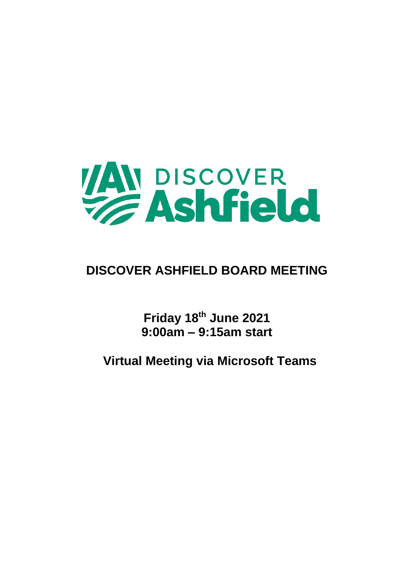

# **DISCOVER ASHFIELD BOARD MEETING**

**Friday 18th June 2021 9:00am – 9:15am start**

**Virtual Meeting via Microsoft Teams**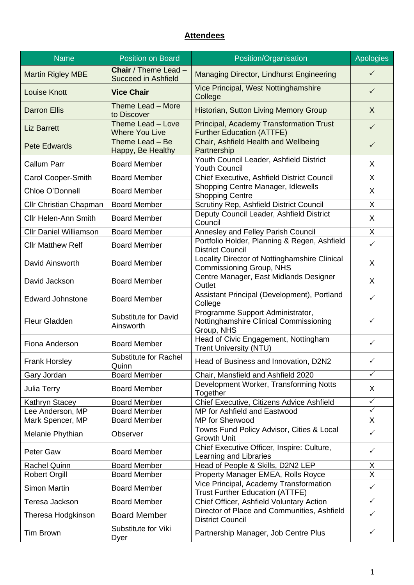### **Attendees**

| <b>Name</b>                   | <b>Position on Board</b>                           | Position/Organisation                                                                    | Apologies      |
|-------------------------------|----------------------------------------------------|------------------------------------------------------------------------------------------|----------------|
| <b>Martin Rigley MBE</b>      | Chair / Theme Lead -<br><b>Succeed in Ashfield</b> | Managing Director, Lindhurst Engineering                                                 | $\checkmark$   |
| <b>Louise Knott</b>           | <b>Vice Chair</b>                                  | Vice Principal, West Nottinghamshire<br>College                                          | $\checkmark$   |
| <b>Darron Ellis</b>           | Theme Lead - More<br>to Discover                   | Historian, Sutton Living Memory Group                                                    | X              |
| <b>Liz Barrett</b>            | Theme Lead - Love<br><b>Where You Live</b>         | Principal, Academy Transformation Trust<br><b>Further Education (ATTFE)</b>              | $\checkmark$   |
| <b>Pete Edwards</b>           | Theme Lead - Be<br>Happy, Be Healthy               | Chair, Ashfield Health and Wellbeing<br>Partnership                                      | $\checkmark$   |
| <b>Callum Parr</b>            | <b>Board Member</b>                                | Youth Council Leader, Ashfield District<br><b>Youth Council</b>                          | X              |
| Carol Cooper-Smith            | <b>Board Member</b>                                | Chief Executive, Ashfield District Council                                               | X              |
| Chloe O'Donnell               | <b>Board Member</b>                                | Shopping Centre Manager, Idlewells<br><b>Shopping Centre</b>                             | X              |
| Cllr Christian Chapman        | <b>Board Member</b>                                | Scrutiny Rep, Ashfield District Council                                                  | X              |
| <b>Cllr Helen-Ann Smith</b>   | <b>Board Member</b>                                | Deputy Council Leader, Ashfield District<br>Council                                      | X              |
| <b>Cllr Daniel Williamson</b> | <b>Board Member</b>                                | Annesley and Felley Parish Council                                                       | X              |
| <b>Cllr Matthew Relf</b>      | <b>Board Member</b>                                | Portfolio Holder, Planning & Regen, Ashfield<br><b>District Council</b>                  | $\checkmark$   |
| David Ainsworth               | <b>Board Member</b>                                | Locality Director of Nottinghamshire Clinical<br>Commissioning Group, NHS                | X              |
| David Jackson                 | <b>Board Member</b>                                | Centre Manager, East Midlands Designer<br>Outlet                                         | X              |
| <b>Edward Johnstone</b>       | <b>Board Member</b>                                | Assistant Principal (Development), Portland<br>College                                   | $\checkmark$   |
| Fleur Gladden                 | <b>Substitute for David</b><br>Ainsworth           | Programme Support Administrator,<br>Nottinghamshire Clinical Commissioning<br>Group, NHS | ✓              |
| Fiona Anderson                | <b>Board Member</b>                                | Head of Civic Engagement, Nottingham<br><b>Trent University (NTU)</b>                    | ✓              |
| Frank Horsley                 | <b>Substitute for Rachel</b><br>Quinn              | Head of Business and Innovation, D2N2<br>✓                                               |                |
| Gary Jordan                   | <b>Board Member</b>                                | Chair, Mansfield and Ashfield 2020                                                       | $\checkmark$   |
| Julia Terry                   | <b>Board Member</b>                                | Development Worker, Transforming Notts<br>Together                                       | X              |
| Kathryn Stacey                | <b>Board Member</b>                                | Chief Executive, Citizens Advice Ashfield                                                | $\checkmark$   |
| Lee Anderson, MP              | <b>Board Member</b>                                | MP for Ashfield and Eastwood                                                             | $\checkmark$   |
| Mark Spencer, MP              | <b>Board Member</b>                                | <b>MP</b> for Sherwood                                                                   | X              |
| Melanie Phythian              | Observer                                           | Towns Fund Policy Advisor, Cities & Local<br><b>Growth Unit</b>                          | $\checkmark$   |
| Peter Gaw                     | <b>Board Member</b>                                | Chief Executive Officer, Inspire: Culture,<br>Learning and Libraries                     | $\checkmark$   |
| <b>Rachel Quinn</b>           | <b>Board Member</b>                                | Head of People & Skills, D2N2 LEP                                                        | X              |
| <b>Robert Orgill</b>          | <b>Board Member</b>                                | Property Manager EMEA, Rolls Royce                                                       | $\overline{X}$ |
| <b>Simon Martin</b>           | <b>Board Member</b>                                | Vice Principal, Academy Transformation<br><b>Trust Further Education (ATTFE)</b>         | $\checkmark$   |
| Teresa Jackson                | <b>Board Member</b>                                | Chief Officer, Ashfield Voluntary Action                                                 | $\checkmark$   |
| Theresa Hodgkinson            | <b>Board Member</b>                                | Director of Place and Communities, Ashfield<br><b>District Council</b>                   | $\checkmark$   |
| <b>Tim Brown</b>              | Substitute for Viki<br>Dyer                        | Partnership Manager, Job Centre Plus                                                     | $\checkmark$   |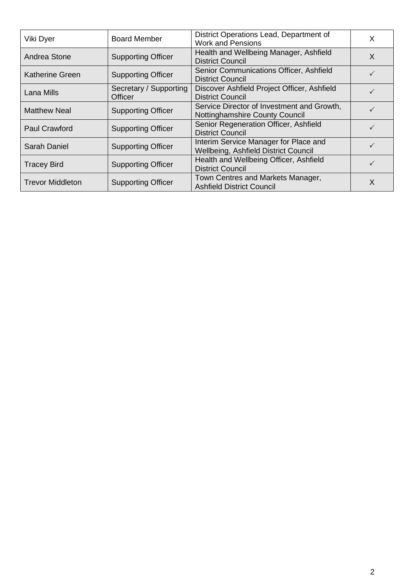| Viki Dyer               | <b>Board Member</b>                                                                            | District Operations Lead, Department of<br><b>Work and Pensions</b>           | X |
|-------------------------|------------------------------------------------------------------------------------------------|-------------------------------------------------------------------------------|---|
| Andrea Stone            | Health and Wellbeing Manager, Ashfield<br><b>Supporting Officer</b><br><b>District Council</b> |                                                                               | X |
| <b>Katherine Green</b>  | <b>Supporting Officer</b>                                                                      | Senior Communications Officer, Ashfield<br><b>District Council</b>            |   |
| Lana Mills              | Secretary / Supporting<br>Officer                                                              | Discover Ashfield Project Officer, Ashfield<br><b>District Council</b>        |   |
| <b>Matthew Neal</b>     | <b>Supporting Officer</b>                                                                      | Service Director of Investment and Growth,<br>Nottinghamshire County Council  |   |
| <b>Paul Crawford</b>    | <b>Supporting Officer</b>                                                                      | Senior Regeneration Officer, Ashfield<br><b>District Council</b>              |   |
| Sarah Daniel            | <b>Supporting Officer</b>                                                                      | Interim Service Manager for Place and<br>Wellbeing, Ashfield District Council |   |
| <b>Tracey Bird</b>      | <b>Supporting Officer</b>                                                                      | Health and Wellbeing Officer, Ashfield<br><b>District Council</b>             |   |
| <b>Trevor Middleton</b> | <b>Supporting Officer</b>                                                                      | Town Centres and Markets Manager,<br><b>Ashfield District Council</b>         | X |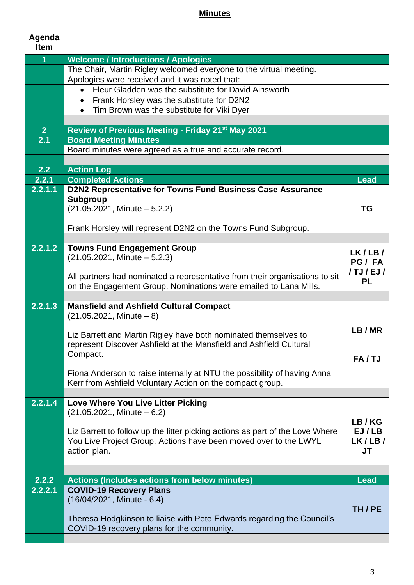## **Minutes**

| Agenda<br><b>Item</b> |                                                                                                                      |                   |  |
|-----------------------|----------------------------------------------------------------------------------------------------------------------|-------------------|--|
| $\overline{1}$        | <b>Welcome / Introductions / Apologies</b>                                                                           |                   |  |
|                       | The Chair, Martin Rigley welcomed everyone to the virtual meeting.                                                   |                   |  |
|                       | Apologies were received and it was noted that:                                                                       |                   |  |
|                       | Fleur Gladden was the substitute for David Ainsworth                                                                 |                   |  |
|                       | Frank Horsley was the substitute for D2N2                                                                            |                   |  |
|                       | Tim Brown was the substitute for Viki Dyer                                                                           |                   |  |
|                       |                                                                                                                      |                   |  |
| 2 <sup>1</sup>        | Review of Previous Meeting - Friday 21 <sup>st</sup> May 2021                                                        |                   |  |
| 2.1                   | <b>Board Meeting Minutes</b>                                                                                         |                   |  |
|                       | Board minutes were agreed as a true and accurate record.                                                             |                   |  |
|                       |                                                                                                                      |                   |  |
| 2.2                   | <b>Action Log</b>                                                                                                    |                   |  |
| 2.2.1                 | <b>Completed Actions</b>                                                                                             | <b>Lead</b>       |  |
| 2.2.1.1               | D2N2 Representative for Towns Fund Business Case Assurance                                                           |                   |  |
|                       | <b>Subgroup</b>                                                                                                      |                   |  |
|                       | $(21.05.2021,$ Minute $-5.2.2)$                                                                                      | TG                |  |
|                       | Frank Horsley will represent D2N2 on the Towns Fund Subgroup.                                                        |                   |  |
|                       |                                                                                                                      |                   |  |
| 2.2.1.2               | <b>Towns Fund Engagement Group</b>                                                                                   |                   |  |
|                       | $(21.05.2021,$ Minute $-5.2.3)$                                                                                      | LK/LB/<br>PG/FA   |  |
|                       |                                                                                                                      | $/$ TJ $/$ EJ $/$ |  |
|                       | All partners had nominated a representative from their organisations to sit                                          | <b>PL</b>         |  |
|                       | on the Engagement Group. Nominations were emailed to Lana Mills.                                                     |                   |  |
|                       |                                                                                                                      |                   |  |
| 2.2.1.3               | <b>Mansfield and Ashfield Cultural Compact</b>                                                                       |                   |  |
|                       | $(21.05.2021,$ Minute $-8)$                                                                                          |                   |  |
|                       | Liz Barrett and Martin Rigley have both nominated themselves to                                                      | LB/MR             |  |
|                       | represent Discover Ashfield at the Mansfield and Ashfield Cultural                                                   |                   |  |
|                       | Compact.                                                                                                             |                   |  |
|                       |                                                                                                                      | FA/TJ             |  |
|                       | Fiona Anderson to raise internally at NTU the possibility of having Anna                                             |                   |  |
|                       | Kerr from Ashfield Voluntary Action on the compact group.                                                            |                   |  |
|                       |                                                                                                                      |                   |  |
| 2.2.1.4               | <b>Love Where You Live Litter Picking</b>                                                                            |                   |  |
|                       | $(21.05.2021,$ Minute $-6.2)$                                                                                        | LB/KG             |  |
|                       | Liz Barrett to follow up the litter picking actions as part of the Love Where                                        | EJ/LB             |  |
|                       | You Live Project Group. Actions have been moved over to the LWYL                                                     | LK/LB/            |  |
|                       | action plan.                                                                                                         | JT                |  |
|                       |                                                                                                                      |                   |  |
|                       |                                                                                                                      |                   |  |
| 2.2.2                 | <b>Actions (Includes actions from below minutes)</b>                                                                 | <b>Lead</b>       |  |
| 2.2.2.1               | <b>COVID-19 Recovery Plans</b>                                                                                       |                   |  |
|                       | (16/04/2021, Minute - 6.4)                                                                                           |                   |  |
|                       |                                                                                                                      | TH/PE             |  |
|                       | Theresa Hodgkinson to liaise with Pete Edwards regarding the Council's<br>COVID-19 recovery plans for the community. |                   |  |
|                       |                                                                                                                      |                   |  |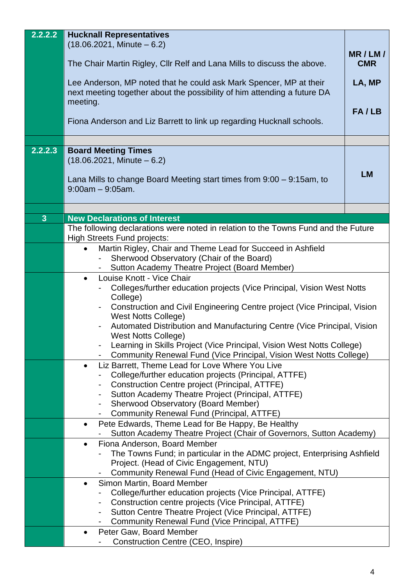| 2.2.2.2                 | <b>Hucknall Representatives</b>                                                                                                                |            |  |
|-------------------------|------------------------------------------------------------------------------------------------------------------------------------------------|------------|--|
|                         | $(18.06.2021,$ Minute $-6.2)$                                                                                                                  | MR/LM/     |  |
|                         | The Chair Martin Rigley, Cllr Relf and Lana Mills to discuss the above.                                                                        | <b>CMR</b> |  |
|                         | Lee Anderson, MP noted that he could ask Mark Spencer, MP at their<br>next meeting together about the possibility of him attending a future DA | LA, MP     |  |
|                         | meeting.                                                                                                                                       | FA/LB      |  |
|                         | Fiona Anderson and Liz Barrett to link up regarding Hucknall schools.                                                                          |            |  |
|                         |                                                                                                                                                |            |  |
| 2.2.2.3                 | <b>Board Meeting Times</b><br>$(18.06.2021,$ Minute $-6.2)$                                                                                    |            |  |
|                         |                                                                                                                                                |            |  |
|                         | Lana Mills to change Board Meeting start times from $9:00 - 9:15$ am, to<br>$9:00am - 9:05am$ .                                                | <b>LM</b>  |  |
|                         |                                                                                                                                                |            |  |
| $\overline{\mathbf{3}}$ | <b>New Declarations of Interest</b>                                                                                                            |            |  |
|                         | The following declarations were noted in relation to the Towns Fund and the Future                                                             |            |  |
|                         | <b>High Streets Fund projects:</b>                                                                                                             |            |  |
|                         | Martin Rigley, Chair and Theme Lead for Succeed in Ashfield<br>Sherwood Observatory (Chair of the Board)                                       |            |  |
|                         | Sutton Academy Theatre Project (Board Member)                                                                                                  |            |  |
|                         | Louise Knott - Vice Chair<br>$\bullet$                                                                                                         |            |  |
|                         | Colleges/further education projects (Vice Principal, Vision West Notts                                                                         |            |  |
|                         | College)                                                                                                                                       |            |  |
|                         | Construction and Civil Engineering Centre project (Vice Principal, Vision<br><b>West Notts College)</b>                                        |            |  |
|                         | Automated Distribution and Manufacturing Centre (Vice Principal, Vision                                                                        |            |  |
|                         | <b>West Notts College)</b>                                                                                                                     |            |  |
|                         | Learning in Skills Project (Vice Principal, Vision West Notts College)                                                                         |            |  |
|                         | Community Renewal Fund (Vice Principal, Vision West Notts College)<br>Liz Barrett, Theme Lead for Love Where You Live<br>$\bullet$             |            |  |
|                         | College/further education projects (Principal, ATTFE)                                                                                          |            |  |
|                         | Construction Centre project (Principal, ATTFE)                                                                                                 |            |  |
|                         | Sutton Academy Theatre Project (Principal, ATTFE)                                                                                              |            |  |
|                         | Sherwood Observatory (Board Member)                                                                                                            |            |  |
|                         | Community Renewal Fund (Principal, ATTFE)<br>Pete Edwards, Theme Lead for Be Happy, Be Healthy<br>$\bullet$                                    |            |  |
|                         | Sutton Academy Theatre Project (Chair of Governors, Sutton Academy)                                                                            |            |  |
|                         | Fiona Anderson, Board Member<br>$\bullet$                                                                                                      |            |  |
|                         | The Towns Fund; in particular in the ADMC project, Enterprising Ashfield                                                                       |            |  |
|                         | Project. (Head of Civic Engagement, NTU)                                                                                                       |            |  |
|                         | Community Renewal Fund (Head of Civic Engagement, NTU)<br>Simon Martin, Board Member<br>$\bullet$                                              |            |  |
|                         | College/further education projects (Vice Principal, ATTFE)                                                                                     |            |  |
|                         | Construction centre projects (Vice Principal, ATTFE)                                                                                           |            |  |
|                         | Sutton Centre Theatre Project (Vice Principal, ATTFE)                                                                                          |            |  |
|                         | Community Renewal Fund (Vice Principal, ATTFE)                                                                                                 |            |  |
|                         | Peter Gaw, Board Member<br>$\bullet$<br>Construction Centre (CEO, Inspire)                                                                     |            |  |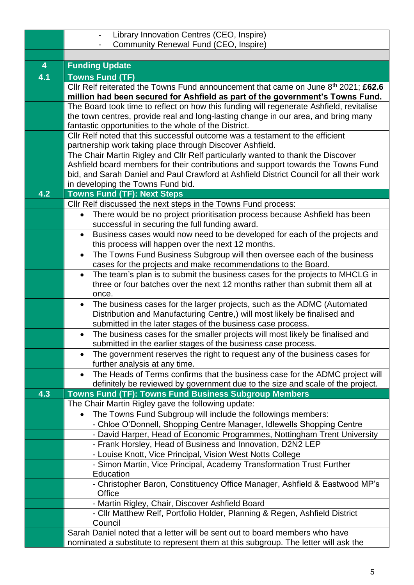|                         | Library Innovation Centres (CEO, Inspire)                                                                                                                                 |  |  |  |  |
|-------------------------|---------------------------------------------------------------------------------------------------------------------------------------------------------------------------|--|--|--|--|
|                         | Community Renewal Fund (CEO, Inspire)                                                                                                                                     |  |  |  |  |
|                         |                                                                                                                                                                           |  |  |  |  |
| $\overline{\mathbf{4}}$ | <b>Funding Update</b>                                                                                                                                                     |  |  |  |  |
| 4.1                     | <b>Towns Fund (TF)</b>                                                                                                                                                    |  |  |  |  |
|                         | Cllr Relf reiterated the Towns Fund announcement that came on June 8th 2021; £62.6<br>million had been secured for Ashfield as part of the government's Towns Fund.       |  |  |  |  |
|                         | The Board took time to reflect on how this funding will regenerate Ashfield, revitalise                                                                                   |  |  |  |  |
|                         | the town centres, provide real and long-lasting change in our area, and bring many                                                                                        |  |  |  |  |
|                         | fantastic opportunities to the whole of the District.                                                                                                                     |  |  |  |  |
|                         | CIIr Relf noted that this successful outcome was a testament to the efficient                                                                                             |  |  |  |  |
|                         | partnership work taking place through Discover Ashfield.                                                                                                                  |  |  |  |  |
|                         | The Chair Martin Rigley and Cllr Relf particularly wanted to thank the Discover                                                                                           |  |  |  |  |
|                         | Ashfield board members for their contributions and support towards the Towns Fund                                                                                         |  |  |  |  |
|                         | bid, and Sarah Daniel and Paul Crawford at Ashfield District Council for all their work<br>in developing the Towns Fund bid.                                              |  |  |  |  |
| 4.2                     | <b>Towns Fund (TF): Next Steps</b>                                                                                                                                        |  |  |  |  |
|                         | Cllr Relf discussed the next steps in the Towns Fund process:                                                                                                             |  |  |  |  |
|                         | There would be no project prioritisation process because Ashfield has been<br>$\bullet$                                                                                   |  |  |  |  |
|                         | successful in securing the full funding award.                                                                                                                            |  |  |  |  |
|                         | Business cases would now need to be developed for each of the projects and<br>$\bullet$                                                                                   |  |  |  |  |
|                         | this process will happen over the next 12 months.                                                                                                                         |  |  |  |  |
|                         | The Towns Fund Business Subgroup will then oversee each of the business<br>$\bullet$                                                                                      |  |  |  |  |
|                         | cases for the projects and make recommendations to the Board.                                                                                                             |  |  |  |  |
|                         | The team's plan is to submit the business cases for the projects to MHCLG in<br>$\bullet$<br>three or four batches over the next 12 months rather than submit them all at |  |  |  |  |
|                         | once.                                                                                                                                                                     |  |  |  |  |
|                         | The business cases for the larger projects, such as the ADMC (Automated                                                                                                   |  |  |  |  |
|                         | Distribution and Manufacturing Centre,) will most likely be finalised and                                                                                                 |  |  |  |  |
|                         | submitted in the later stages of the business case process.                                                                                                               |  |  |  |  |
|                         | The business cases for the smaller projects will most likely be finalised and                                                                                             |  |  |  |  |
|                         | submitted in the earlier stages of the business case process.                                                                                                             |  |  |  |  |
|                         | The government reserves the right to request any of the business cases for                                                                                                |  |  |  |  |
|                         | further analysis at any time.                                                                                                                                             |  |  |  |  |
|                         | The Heads of Terms confirms that the business case for the ADMC project will<br>definitely be reviewed by government due to the size and scale of the project.            |  |  |  |  |
| 4.3                     | Towns Fund (TF): Towns Fund Business Subgroup Members                                                                                                                     |  |  |  |  |
|                         | The Chair Martin Rigley gave the following update:                                                                                                                        |  |  |  |  |
|                         | The Towns Fund Subgroup will include the followings members:<br>$\bullet$                                                                                                 |  |  |  |  |
|                         | - Chloe O'Donnell, Shopping Centre Manager, Idlewells Shopping Centre                                                                                                     |  |  |  |  |
|                         | - David Harper, Head of Economic Programmes, Nottingham Trent University                                                                                                  |  |  |  |  |
|                         | - Frank Horsley, Head of Business and Innovation, D2N2 LEP                                                                                                                |  |  |  |  |
|                         | - Louise Knott, Vice Principal, Vision West Notts College                                                                                                                 |  |  |  |  |
|                         | - Simon Martin, Vice Principal, Academy Transformation Trust Further                                                                                                      |  |  |  |  |
|                         | Education                                                                                                                                                                 |  |  |  |  |
|                         | - Christopher Baron, Constituency Office Manager, Ashfield & Eastwood MP's<br>Office                                                                                      |  |  |  |  |
|                         | - Martin Rigley, Chair, Discover Ashfield Board                                                                                                                           |  |  |  |  |
|                         | - Cllr Matthew Relf, Portfolio Holder, Planning & Regen, Ashfield District                                                                                                |  |  |  |  |
|                         | Council                                                                                                                                                                   |  |  |  |  |
|                         | Sarah Daniel noted that a letter will be sent out to board members who have                                                                                               |  |  |  |  |
|                         | nominated a substitute to represent them at this subgroup. The letter will ask the                                                                                        |  |  |  |  |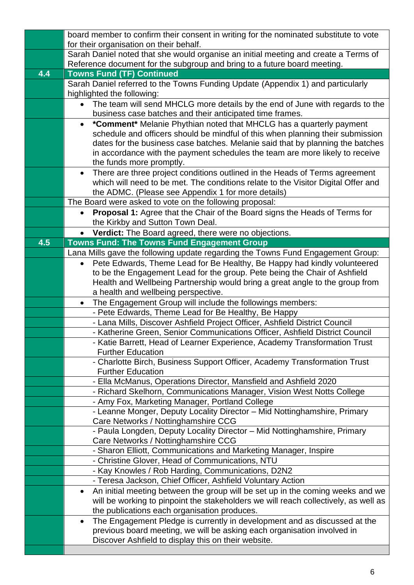|     | board member to confirm their consent in writing for the nominated substitute to vote                                                                            |  |  |  |  |
|-----|------------------------------------------------------------------------------------------------------------------------------------------------------------------|--|--|--|--|
|     | for their organisation on their behalf.<br>Sarah Daniel noted that she would organise an initial meeting and create a Terms of                                   |  |  |  |  |
|     | Reference document for the subgroup and bring to a future board meeting.                                                                                         |  |  |  |  |
| 4.4 | <b>Towns Fund (TF) Continued</b>                                                                                                                                 |  |  |  |  |
|     | Sarah Daniel referred to the Towns Funding Update (Appendix 1) and particularly                                                                                  |  |  |  |  |
|     | highlighted the following:                                                                                                                                       |  |  |  |  |
|     | The team will send MHCLG more details by the end of June with regards to the                                                                                     |  |  |  |  |
|     | business case batches and their anticipated time frames.                                                                                                         |  |  |  |  |
|     | *Comment* Melanie Phythian noted that MHCLG has a quarterly payment<br>$\bullet$                                                                                 |  |  |  |  |
|     | schedule and officers should be mindful of this when planning their submission                                                                                   |  |  |  |  |
|     | dates for the business case batches. Melanie said that by planning the batches                                                                                   |  |  |  |  |
|     | in accordance with the payment schedules the team are more likely to receive                                                                                     |  |  |  |  |
|     | the funds more promptly.                                                                                                                                         |  |  |  |  |
|     | There are three project conditions outlined in the Heads of Terms agreement<br>which will need to be met. The conditions relate to the Visitor Digital Offer and |  |  |  |  |
|     | the ADMC. (Please see Appendix 1 for more details)                                                                                                               |  |  |  |  |
|     | The Board were asked to vote on the following proposal:                                                                                                          |  |  |  |  |
|     | <b>Proposal 1:</b> Agree that the Chair of the Board signs the Heads of Terms for                                                                                |  |  |  |  |
|     | the Kirkby and Sutton Town Deal.                                                                                                                                 |  |  |  |  |
|     | Verdict: The Board agreed, there were no objections.                                                                                                             |  |  |  |  |
| 4.5 | <b>Towns Fund: The Towns Fund Engagement Group</b>                                                                                                               |  |  |  |  |
|     | Lana Mills gave the following update regarding the Towns Fund Engagement Group:                                                                                  |  |  |  |  |
|     | Pete Edwards, Theme Lead for Be Healthy, Be Happy had kindly volunteered<br>$\bullet$                                                                            |  |  |  |  |
|     | to be the Engagement Lead for the group. Pete being the Chair of Ashfield                                                                                        |  |  |  |  |
|     | Health and Wellbeing Partnership would bring a great angle to the group from                                                                                     |  |  |  |  |
|     | a health and wellbeing perspective.                                                                                                                              |  |  |  |  |
|     | The Engagement Group will include the followings members:<br>$\bullet$<br>- Pete Edwards, Theme Lead for Be Healthy, Be Happy                                    |  |  |  |  |
|     | - Lana Mills, Discover Ashfield Project Officer, Ashfield District Council                                                                                       |  |  |  |  |
|     | - Katherine Green, Senior Communications Officer, Ashfield District Council                                                                                      |  |  |  |  |
|     | - Katie Barrett, Head of Learner Experience, Academy Transformation Trust                                                                                        |  |  |  |  |
|     | <b>Further Education</b>                                                                                                                                         |  |  |  |  |
|     | - Charlotte Birch, Business Support Officer, Academy Transformation Trust                                                                                        |  |  |  |  |
|     | <b>Further Education</b>                                                                                                                                         |  |  |  |  |
|     | - Ella McManus, Operations Director, Mansfield and Ashfield 2020                                                                                                 |  |  |  |  |
|     | - Richard Skelhorn, Communications Manager, Vision West Notts College                                                                                            |  |  |  |  |
|     | - Amy Fox, Marketing Manager, Portland College                                                                                                                   |  |  |  |  |
|     | - Leanne Monger, Deputy Locality Director - Mid Nottinghamshire, Primary<br>Care Networks / Nottinghamshire CCG                                                  |  |  |  |  |
|     | - Paula Longden, Deputy Locality Director - Mid Nottinghamshire, Primary                                                                                         |  |  |  |  |
|     | Care Networks / Nottinghamshire CCG                                                                                                                              |  |  |  |  |
|     | - Sharon Elliott, Communications and Marketing Manager, Inspire                                                                                                  |  |  |  |  |
|     | - Christine Glover, Head of Communications, NTU                                                                                                                  |  |  |  |  |
|     | - Kay Knowles / Rob Harding, Communications, D2N2                                                                                                                |  |  |  |  |
|     | - Teresa Jackson, Chief Officer, Ashfield Voluntary Action                                                                                                       |  |  |  |  |
|     | An initial meeting between the group will be set up in the coming weeks and we<br>$\bullet$                                                                      |  |  |  |  |
|     | will be working to pinpoint the stakeholders we will reach collectively, as well as                                                                              |  |  |  |  |
|     | the publications each organisation produces.                                                                                                                     |  |  |  |  |
|     | The Engagement Pledge is currently in development and as discussed at the                                                                                        |  |  |  |  |
|     | previous board meeting, we will be asking each organisation involved in                                                                                          |  |  |  |  |
|     | Discover Ashfield to display this on their website.                                                                                                              |  |  |  |  |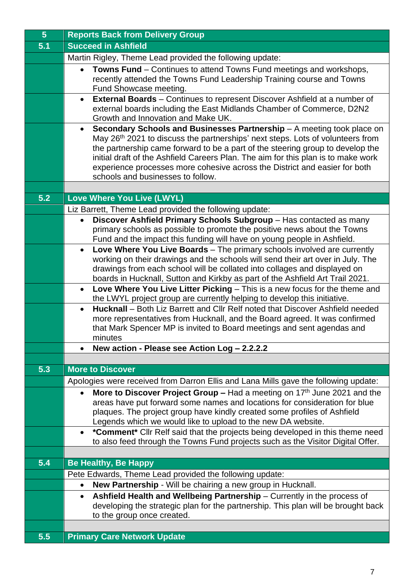| 5 <sup>5</sup> | <b>Reports Back from Delivery Group</b>                                                                                                                                       |  |  |  |  |
|----------------|-------------------------------------------------------------------------------------------------------------------------------------------------------------------------------|--|--|--|--|
| 5.1            | <b>Succeed in Ashfield</b>                                                                                                                                                    |  |  |  |  |
|                | Martin Rigley, Theme Lead provided the following update:                                                                                                                      |  |  |  |  |
|                | <b>Towns Fund</b> – Continues to attend Towns Fund meetings and workshops,<br>$\bullet$                                                                                       |  |  |  |  |
|                | recently attended the Towns Fund Leadership Training course and Towns                                                                                                         |  |  |  |  |
|                | Fund Showcase meeting.                                                                                                                                                        |  |  |  |  |
|                | <b>External Boards</b> – Continues to represent Discover Ashfield at a number of<br>$\bullet$                                                                                 |  |  |  |  |
|                | external boards including the East Midlands Chamber of Commerce, D2N2<br>Growth and Innovation and Make UK.                                                                   |  |  |  |  |
|                | Secondary Schools and Businesses Partnership - A meeting took place on<br>$\bullet$                                                                                           |  |  |  |  |
|                | May 26 <sup>th</sup> 2021 to discuss the partnerships' next steps. Lots of volunteers from                                                                                    |  |  |  |  |
|                | the partnership came forward to be a part of the steering group to develop the                                                                                                |  |  |  |  |
|                | initial draft of the Ashfield Careers Plan. The aim for this plan is to make work                                                                                             |  |  |  |  |
|                | experience processes more cohesive across the District and easier for both                                                                                                    |  |  |  |  |
|                | schools and businesses to follow.                                                                                                                                             |  |  |  |  |
|                |                                                                                                                                                                               |  |  |  |  |
| 5.2            | Love Where You Live (LWYL)                                                                                                                                                    |  |  |  |  |
|                | Liz Barrett, Theme Lead provided the following update:                                                                                                                        |  |  |  |  |
|                | Discover Ashfield Primary Schools Subgroup - Has contacted as many<br>$\bullet$<br>primary schools as possible to promote the positive news about the Towns                   |  |  |  |  |
|                | Fund and the impact this funding will have on young people in Ashfield.                                                                                                       |  |  |  |  |
|                | Love Where You Live Boards - The primary schools involved are currently                                                                                                       |  |  |  |  |
|                | working on their drawings and the schools will send their art over in July. The                                                                                               |  |  |  |  |
|                | drawings from each school will be collated into collages and displayed on                                                                                                     |  |  |  |  |
|                | boards in Hucknall, Sutton and Kirkby as part of the Ashfield Art Trail 2021.                                                                                                 |  |  |  |  |
|                | Love Where You Live Litter Picking - This is a new focus for the theme and<br>$\bullet$                                                                                       |  |  |  |  |
|                | the LWYL project group are currently helping to develop this initiative.                                                                                                      |  |  |  |  |
|                | <b>Hucknall</b> – Both Liz Barrett and Cllr Relf noted that Discover Ashfield needed<br>$\bullet$                                                                             |  |  |  |  |
|                | more representatives from Hucknall, and the Board agreed. It was confirmed<br>that Mark Spencer MP is invited to Board meetings and sent agendas and                          |  |  |  |  |
|                | minutes                                                                                                                                                                       |  |  |  |  |
|                | New action - Please see Action Log - 2.2.2.2                                                                                                                                  |  |  |  |  |
|                |                                                                                                                                                                               |  |  |  |  |
| 5.3            | <b>More to Discover</b>                                                                                                                                                       |  |  |  |  |
|                | Apologies were received from Darron Ellis and Lana Mills gave the following update:                                                                                           |  |  |  |  |
|                | More to Discover Project Group – Had a meeting on $17th$ June 2021 and the                                                                                                    |  |  |  |  |
|                | areas have put forward some names and locations for consideration for blue                                                                                                    |  |  |  |  |
|                | plaques. The project group have kindly created some profiles of Ashfield                                                                                                      |  |  |  |  |
|                | Legends which we would like to upload to the new DA website.                                                                                                                  |  |  |  |  |
|                | *Comment* Cllr Relf said that the projects being developed in this theme need<br>$\bullet$<br>to also feed through the Towns Fund projects such as the Visitor Digital Offer. |  |  |  |  |
|                |                                                                                                                                                                               |  |  |  |  |
| 5.4            | <b>Be Healthy, Be Happy</b>                                                                                                                                                   |  |  |  |  |
|                | Pete Edwards, Theme Lead provided the following update:                                                                                                                       |  |  |  |  |
|                | New Partnership - Will be chairing a new group in Hucknall.<br>$\bullet$                                                                                                      |  |  |  |  |
|                | Ashfield Health and Wellbeing Partnership – Currently in the process of<br>$\bullet$                                                                                          |  |  |  |  |
|                | developing the strategic plan for the partnership. This plan will be brought back                                                                                             |  |  |  |  |
|                | to the group once created.                                                                                                                                                    |  |  |  |  |
|                |                                                                                                                                                                               |  |  |  |  |
| 5.5            | <b>Primary Care Network Update</b>                                                                                                                                            |  |  |  |  |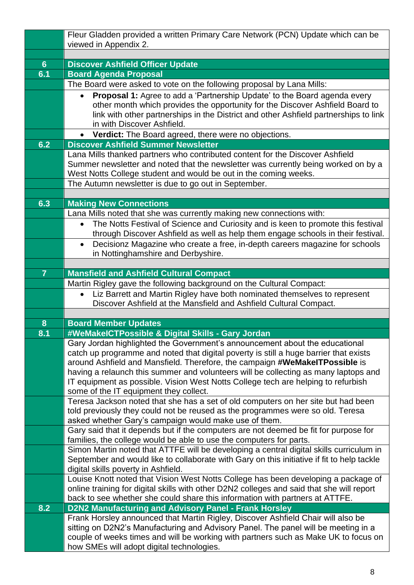|                | Fleur Gladden provided a written Primary Care Network (PCN) Update which can be                                                                                          |  |  |  |
|----------------|--------------------------------------------------------------------------------------------------------------------------------------------------------------------------|--|--|--|
|                | viewed in Appendix 2.                                                                                                                                                    |  |  |  |
| $6\phantom{1}$ | <b>Discover Ashfield Officer Update</b>                                                                                                                                  |  |  |  |
| 6.1            | <b>Board Agenda Proposal</b>                                                                                                                                             |  |  |  |
|                | The Board were asked to vote on the following proposal by Lana Mills:                                                                                                    |  |  |  |
|                | Proposal 1: Agree to add a 'Partnership Update' to the Board agenda every<br>$\bullet$                                                                                   |  |  |  |
|                | other month which provides the opportunity for the Discover Ashfield Board to                                                                                            |  |  |  |
|                | link with other partnerships in the District and other Ashfield partnerships to link                                                                                     |  |  |  |
|                | in with Discover Ashfield.                                                                                                                                               |  |  |  |
|                | • Verdict: The Board agreed, there were no objections.                                                                                                                   |  |  |  |
| 6.2            | <b>Discover Ashfield Summer Newsletter</b>                                                                                                                               |  |  |  |
|                | Lana Mills thanked partners who contributed content for the Discover Ashfield                                                                                            |  |  |  |
|                | Summer newsletter and noted that the newsletter was currently being worked on by a                                                                                       |  |  |  |
|                | West Notts College student and would be out in the coming weeks.<br>The Autumn newsletter is due to go out in September.                                                 |  |  |  |
|                |                                                                                                                                                                          |  |  |  |
| 6.3            | <b>Making New Connections</b>                                                                                                                                            |  |  |  |
|                | Lana Mills noted that she was currently making new connections with:                                                                                                     |  |  |  |
|                | The Notts Festival of Science and Curiosity and is keen to promote this festival<br>$\bullet$                                                                            |  |  |  |
|                | through Discover Ashfield as well as help them engage schools in their festival.                                                                                         |  |  |  |
|                | Decisionz Magazine who create a free, in-depth careers magazine for schools<br>$\bullet$                                                                                 |  |  |  |
|                | in Nottinghamshire and Derbyshire.                                                                                                                                       |  |  |  |
|                |                                                                                                                                                                          |  |  |  |
| $\overline{7}$ | <b>Mansfield and Ashfield Cultural Compact</b>                                                                                                                           |  |  |  |
|                | Martin Rigley gave the following background on the Cultural Compact:                                                                                                     |  |  |  |
|                | Liz Barrett and Martin Rigley have both nominated themselves to represent<br>$\bullet$<br>Discover Ashfield at the Mansfield and Ashfield Cultural Compact.              |  |  |  |
|                |                                                                                                                                                                          |  |  |  |
| 8              | <b>Board Member Updates</b>                                                                                                                                              |  |  |  |
| 8.1            | #WeMakelCTPossible & Digital Skills - Gary Jordan                                                                                                                        |  |  |  |
|                | Gary Jordan highlighted the Government's announcement about the educational                                                                                              |  |  |  |
|                | catch up programme and noted that digital poverty is still a huge barrier that exists                                                                                    |  |  |  |
|                | around Ashfield and Mansfield. Therefore, the campaign #WeMakelTPossible is                                                                                              |  |  |  |
|                | having a relaunch this summer and volunteers will be collecting as many laptops and<br>IT equipment as possible. Vision West Notts College tech are helping to refurbish |  |  |  |
|                | some of the IT equipment they collect.                                                                                                                                   |  |  |  |
|                | Teresa Jackson noted that she has a set of old computers on her site but had been                                                                                        |  |  |  |
|                | told previously they could not be reused as the programmes were so old. Teresa                                                                                           |  |  |  |
|                | asked whether Gary's campaign would make use of them.                                                                                                                    |  |  |  |
|                | Gary said that it depends but if the computers are not deemed be fit for purpose for                                                                                     |  |  |  |
|                | families, the college would be able to use the computers for parts.                                                                                                      |  |  |  |
|                | Simon Martin noted that ATTFE will be developing a central digital skills curriculum in                                                                                  |  |  |  |
|                | September and would like to collaborate with Gary on this initiative if fit to help tackle<br>digital skills poverty in Ashfield.                                        |  |  |  |
|                | Louise Knott noted that Vision West Notts College has been developing a package of                                                                                       |  |  |  |
|                | online training for digital skills with other D2N2 colleges and said that she will report                                                                                |  |  |  |
|                | back to see whether she could share this information with partners at ATTFE.                                                                                             |  |  |  |
| 8.2            | <b>D2N2 Manufacturing and Advisory Panel - Frank Horsley</b>                                                                                                             |  |  |  |
|                | Frank Horsley announced that Martin Rigley, Discover Ashfield Chair will also be                                                                                         |  |  |  |
|                | sitting on D2N2's Manufacturing and Advisory Panel. The panel will be meeting in a                                                                                       |  |  |  |
|                | couple of weeks times and will be working with partners such as Make UK to focus on                                                                                      |  |  |  |
|                | how SMEs will adopt digital technologies.                                                                                                                                |  |  |  |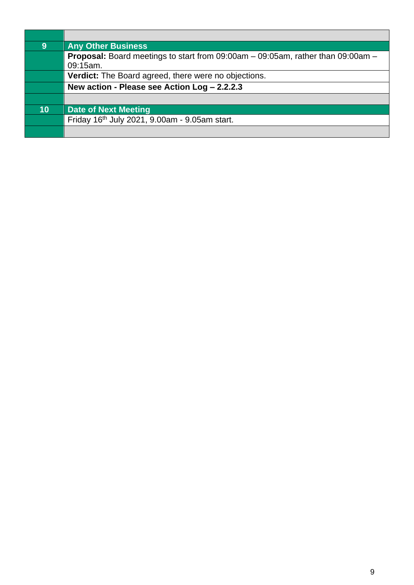| 9  | <b>Any Other Business</b>                                                                          |
|----|----------------------------------------------------------------------------------------------------|
|    | <b>Proposal:</b> Board meetings to start from 09:00am – 09:05am, rather than 09:00am –<br>09:15am. |
|    | Verdict: The Board agreed, there were no objections.                                               |
|    | New action - Please see Action Log - 2.2.2.3                                                       |
|    |                                                                                                    |
| 10 | <b>Date of Next Meeting</b>                                                                        |
|    | Friday 16th July 2021, 9.00am - 9.05am start.                                                      |
|    |                                                                                                    |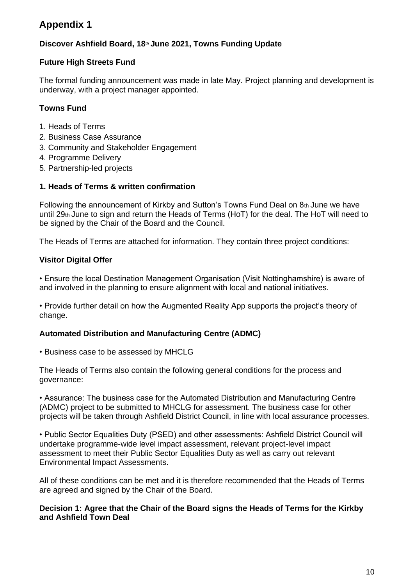## **Appendix 1**

#### **Discover Ashfield Board, 18th June 2021, Towns Funding Update**

#### **Future High Streets Fund**

The formal funding announcement was made in late May. Project planning and development is underway, with a project manager appointed.

#### **Towns Fund**

- 1. Heads of Terms
- 2. Business Case Assurance
- 3. Community and Stakeholder Engagement
- 4. Programme Delivery
- 5. Partnership-led projects

#### **1. Heads of Terms & written confirmation**

Following the announcement of Kirkby and Sutton's Towns Fund Deal on 8th June we have until 29th June to sign and return the Heads of Terms (HoT) for the deal. The HoT will need to be signed by the Chair of the Board and the Council.

The Heads of Terms are attached for information. They contain three project conditions:

#### **Visitor Digital Offer**

• Ensure the local Destination Management Organisation (Visit Nottinghamshire) is aware of and involved in the planning to ensure alignment with local and national initiatives.

• Provide further detail on how the Augmented Reality App supports the project's theory of change.

#### **Automated Distribution and Manufacturing Centre (ADMC)**

• Business case to be assessed by MHCLG

The Heads of Terms also contain the following general conditions for the process and governance:

• Assurance: The business case for the Automated Distribution and Manufacturing Centre (ADMC) project to be submitted to MHCLG for assessment. The business case for other projects will be taken through Ashfield District Council, in line with local assurance processes.

• Public Sector Equalities Duty (PSED) and other assessments: Ashfield District Council will undertake programme-wide level impact assessment, relevant project-level impact assessment to meet their Public Sector Equalities Duty as well as carry out relevant Environmental Impact Assessments.

All of these conditions can be met and it is therefore recommended that the Heads of Terms are agreed and signed by the Chair of the Board.

#### **Decision 1: Agree that the Chair of the Board signs the Heads of Terms for the Kirkby and Ashfield Town Deal**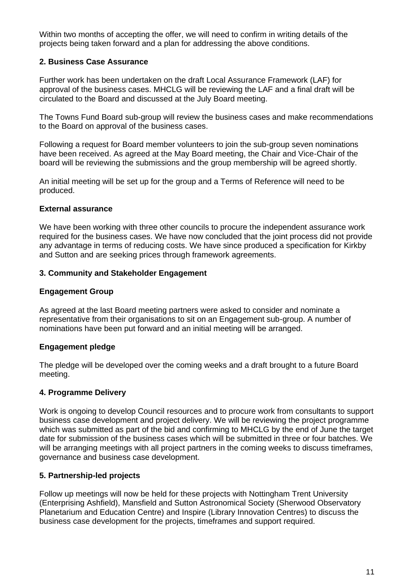Within two months of accepting the offer, we will need to confirm in writing details of the projects being taken forward and a plan for addressing the above conditions.

#### **2. Business Case Assurance**

Further work has been undertaken on the draft Local Assurance Framework (LAF) for approval of the business cases. MHCLG will be reviewing the LAF and a final draft will be circulated to the Board and discussed at the July Board meeting.

The Towns Fund Board sub-group will review the business cases and make recommendations to the Board on approval of the business cases.

Following a request for Board member volunteers to join the sub-group seven nominations have been received. As agreed at the May Board meeting, the Chair and Vice-Chair of the board will be reviewing the submissions and the group membership will be agreed shortly.

An initial meeting will be set up for the group and a Terms of Reference will need to be produced.

#### **External assurance**

We have been working with three other councils to procure the independent assurance work required for the business cases. We have now concluded that the joint process did not provide any advantage in terms of reducing costs. We have since produced a specification for Kirkby and Sutton and are seeking prices through framework agreements.

#### **3. Community and Stakeholder Engagement**

#### **Engagement Group**

As agreed at the last Board meeting partners were asked to consider and nominate a representative from their organisations to sit on an Engagement sub-group. A number of nominations have been put forward and an initial meeting will be arranged.

#### **Engagement pledge**

The pledge will be developed over the coming weeks and a draft brought to a future Board meeting.

#### **4. Programme Delivery**

Work is ongoing to develop Council resources and to procure work from consultants to support business case development and project delivery. We will be reviewing the project programme which was submitted as part of the bid and confirming to MHCLG by the end of June the target date for submission of the business cases which will be submitted in three or four batches. We will be arranging meetings with all project partners in the coming weeks to discuss timeframes, governance and business case development.

#### **5. Partnership-led projects**

Follow up meetings will now be held for these projects with Nottingham Trent University (Enterprising Ashfield), Mansfield and Sutton Astronomical Society (Sherwood Observatory Planetarium and Education Centre) and Inspire (Library Innovation Centres) to discuss the business case development for the projects, timeframes and support required.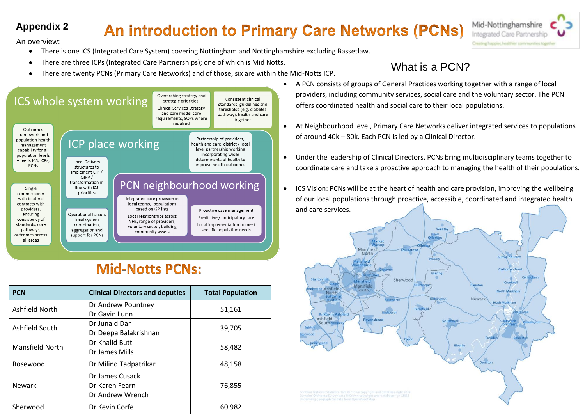# **Appendix 2**

# **An introduction to Primary Care Networks (PCNs)**



An overview:

- There is one ICS (Integrated Care System) covering Nottingham and Nottinghamshire excluding Bassetlaw.
- There are three ICPs (Integrated Care Partnerships); one of which is Mid Notts.
- Finere are three iCPs (integrated Care Partnerships); one of which is wild Notts.<br>There are twenty PCNs (Primary Care Networks) and of those, six are within the Mid-Notts ICP.



# **Mid-Notts PCNs:**

| <b>PCN</b>             | <b>Clinical Directors and deputies</b>                | <b>Total Population</b> |
|------------------------|-------------------------------------------------------|-------------------------|
| Ashfield North         | Dr Andrew Pountney<br>Dr Gavin Lunn                   | 51,161                  |
| Ashfield South         | Dr Junaid Dar<br>Dr Deepa Balakrishnan                | 39,705                  |
| <b>Mansfield North</b> | Dr Khalid Butt<br>Dr James Mills                      | 58,482                  |
| Rosewood               | Dr Milind Tadpatrikar                                 | 48,158                  |
| <b>Newark</b>          | Dr James Cusack<br>Dr Karen Fearn<br>Dr Andrew Wrench | 76,855                  |
| Sherwood               | Dr Kevin Corfe                                        | 60,982                  |

- A PCN consists of groups of General Practices working together with a range of local providers, including community services, social care and the voluntary sector. The PCN offers coordinated health and social care to their local populations.
- At Neighbourhood level, Primary Care Networks deliver integrated services to populations of around 40k – 80k. Each PCN is led by a Clinical Director.
- Under the leadership of Clinical Directors, PCNs bring multidisciplinary teams together to coordinate care and take a proactive approach to managing the health of their populations.
- ICS Vision: PCNs will be at the heart of health and care provision, improving the wellbeing of our local populations through proactive, accessible, coordinated and integrated health and care services.